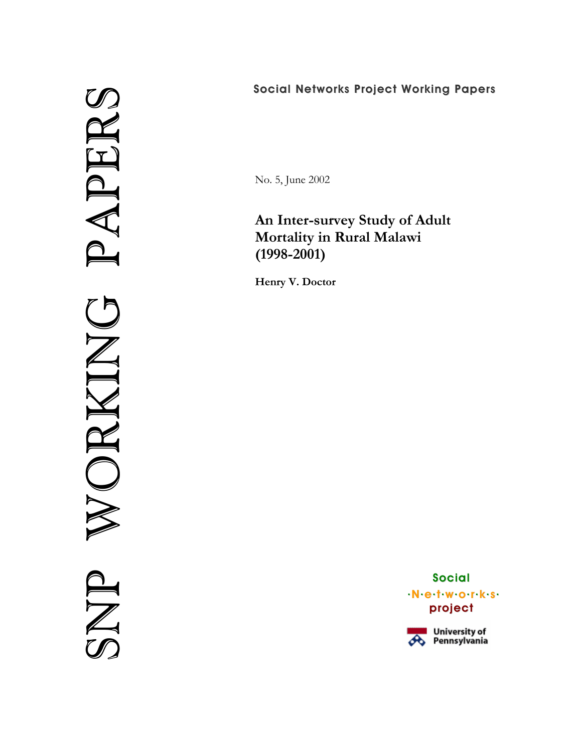# SNP WORKING PAPERS ERS  $\mathbf{\Omega}$ A ORKIN

# Social Networks Project Working Papers

No. 5, June 2002

# **An Inter-survey Study of Adult Mortality in Rural Malawi (1998-2001)**

**Henry V. Doctor** 

Social .N.e.t.w.o.r.k.s. project

University of<br>*O*G Pennsylvania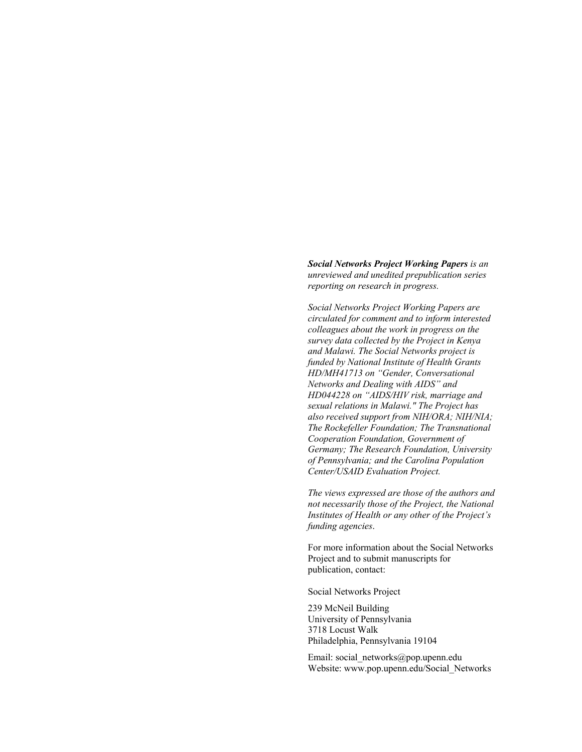*Social Networks Project Working Papers is an unreviewed and unedited prepublication series reporting on research in progress.* 

*Social Networks Project Working Papers are circulated for comment and to inform interested colleagues about the work in progress on the survey data collected by the Project in Kenya and Malawi. The Social Networks project is funded by National Institute of Health Grants HD/MH41713 on "Gender, Conversational Networks and Dealing with AIDS" and HD044228 on "AIDS/HIV risk, marriage and sexual relations in Malawi." The Project has also received support from NIH/ORA; NIH/NIA; The Rockefeller Foundation; The Transnational Cooperation Foundation, Government of Germany; The Research Foundation, University of Pennsylvania; and the Carolina Population Center/USAID Evaluation Project.* 

*The views expressed are those of the authors and not necessarily those of the Project, the National Institutes of Health or any other of the Project's funding agencies*.

For more information about the Social Networks Project and to submit manuscripts for publication, contact:

Social Networks Project

239 McNeil Building University of Pennsylvania 3718 Locust Walk Philadelphia, Pennsylvania 19104

Email: social\_networks@pop.upenn.edu Website: www.pop.upenn.edu/Social\_Networks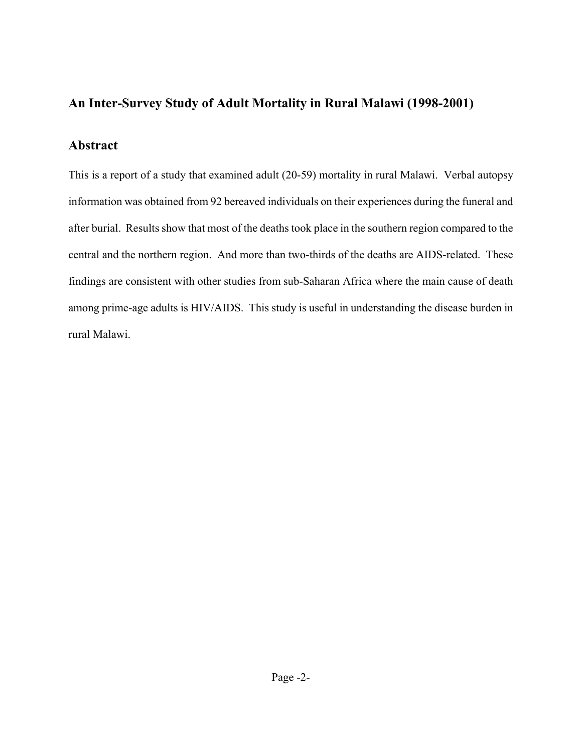# **An Inter-Survey Study of Adult Mortality in Rural Malawi (1998-2001)**

# **Abstract**

This is a report of a study that examined adult (20-59) mortality in rural Malawi. Verbal autopsy information was obtained from 92 bereaved individuals on their experiences during the funeral and after burial. Results show that most of the deaths took place in the southern region compared to the central and the northern region. And more than two-thirds of the deaths are AIDS-related. These findings are consistent with other studies from sub-Saharan Africa where the main cause of death among prime-age adults is HIV/AIDS. This study is useful in understanding the disease burden in rural Malawi.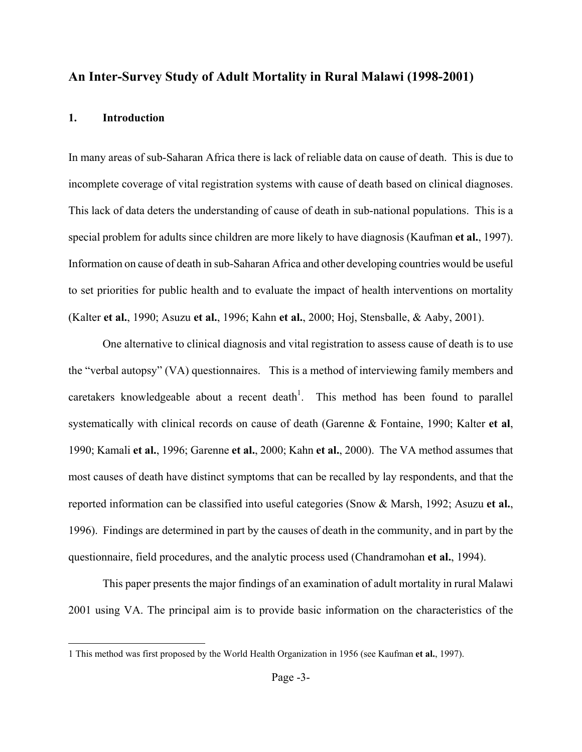# **An Inter-Survey Study of Adult Mortality in Rural Malawi (1998-2001)**

# **1. Introduction**

In many areas of sub-Saharan Africa there is lack of reliable data on cause of death. This is due to incomplete coverage of vital registration systems with cause of death based on clinical diagnoses. This lack of data deters the understanding of cause of death in sub-national populations. This is a special problem for adults since children are more likely to have diagnosis (Kaufman **et al.**, 1997). Information on cause of death in sub-Saharan Africa and other developing countries would be useful to set priorities for public health and to evaluate the impact of health interventions on mortality (Kalter **et al.**, 1990; Asuzu **et al.**, 1996; Kahn **et al.**, 2000; Hoj, Stensballe, & Aaby, 2001).

One alternative to clinical diagnosis and vital registration to assess cause of death is to use the "verbal autopsy" (VA) questionnaires. This is a method of interviewing family members and caretakers knowledgeable about a recent death<sup>[1](#page-3-0)</sup>. This method has been found to parallel systematically with clinical records on cause of death (Garenne & Fontaine, 1990; Kalter **et al**, 1990; Kamali **et al.**, 1996; Garenne **et al.**, 2000; Kahn **et al.**, 2000). The VA method assumes that most causes of death have distinct symptoms that can be recalled by lay respondents, and that the reported information can be classified into useful categories (Snow & Marsh, 1992; Asuzu **et al.**, 1996). Findings are determined in part by the causes of death in the community, and in part by the questionnaire, field procedures, and the analytic process used (Chandramohan **et al.**, 1994).

This paper presents the major findings of an examination of adult mortality in rural Malawi 2001 using VA. The principal aim is to provide basic information on the characteristics of the

<span id="page-3-0"></span> $\overline{\phantom{a}}$ 1 This method was first proposed by the World Health Organization in 1956 (see Kaufman **et al.**, 1997).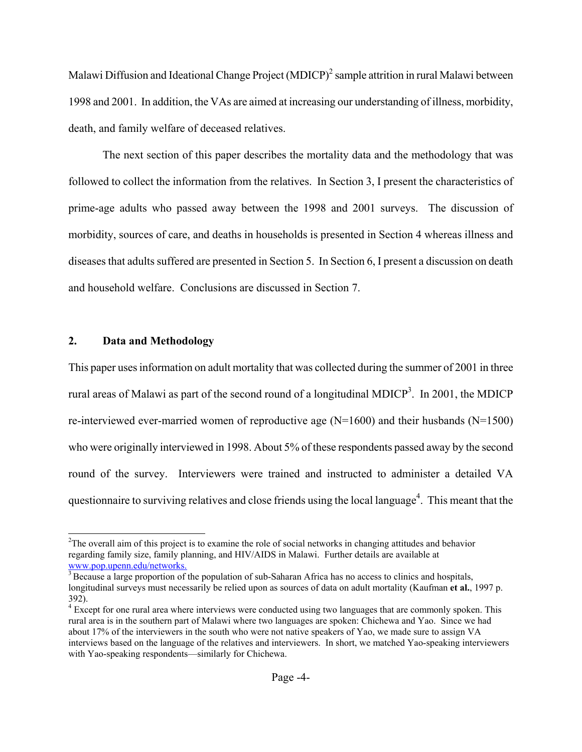Malawi Diffusion and Ideational Change Project (MDICP)<sup>2</sup> [s](#page-4-0)ample attrition in rural Malawi between 1998 and 2001. In addition, the VAs are aimed at increasing our understanding of illness, morbidity, death, and family welfare of deceased relatives.

The next section of this paper describes the mortality data and the methodology that was followed to collect the information from the relatives. In Section 3, I present the characteristics of prime-age adults who passed away between the 1998 and 2001 surveys. The discussion of morbidity, sources of care, and deaths in households is presented in Section 4 whereas illness and diseases that adults suffered are presented in Section 5. In Section 6, I present a discussion on death and household welfare. Conclusions are discussed in Section 7.

# **2. Data and Methodology**

This paper uses information on adult mortality that was collected during the summer of 2001 in three rural areas of Malawi as part of the second round of a longitudinal MDICP<sup>3</sup>. In 2001, the MDICP re-interviewed ever-married women of reproductive age (N=1600) and their husbands (N=1500) who were originally interviewed in 1998. About 5% of these respondents passed away by the second round of the survey. Interviewers were trained and instructed to administer a detailed VA questionnaire to surviving relatives and close friends using the local language<sup>4</sup>. This meant that the

<span id="page-4-0"></span><sup>&</sup>lt;sup>2</sup> <sup>2</sup>The overall aim of this project is to examine the role of social networks in changing attitudes and behavior regarding family size, family planning, and HIV/AIDS in Malawi. Further details are available at www.pop.upenn.edu/networks.<br><sup>3</sup> Because a large proportion of the population of sub-Saharan Africa has no access to clinics and hospitals,

<span id="page-4-1"></span>longitudinal surveys must necessarily be relied upon as sources of data on adult mortality (Kaufman **et al.**, 1997 p. 392).

<span id="page-4-2"></span><sup>&</sup>lt;sup>4</sup> Except for one rural area where interviews were conducted using two languages that are commonly spoken. This rural area is in the southern part of Malawi where two languages are spoken: Chichewa and Yao. Since we had about 17% of the interviewers in the south who were not native speakers of Yao, we made sure to assign VA interviews based on the language of the relatives and interviewers. In short, we matched Yao-speaking interviewers with Yao-speaking respondents—similarly for Chichewa.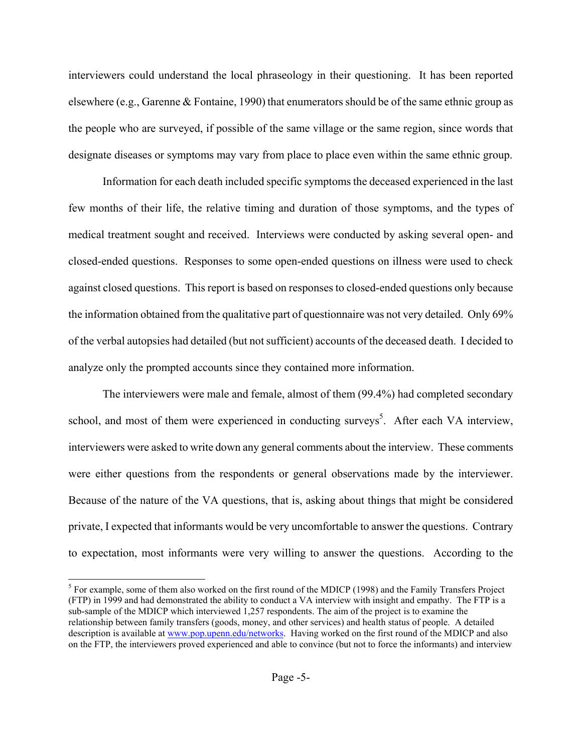interviewers could understand the local phraseology in their questioning. It has been reported elsewhere (e.g., Garenne & Fontaine, 1990) that enumerators should be of the same ethnic group as the people who are surveyed, if possible of the same village or the same region, since words that designate diseases or symptoms may vary from place to place even within the same ethnic group.

Information for each death included specific symptoms the deceased experienced in the last few months of their life, the relative timing and duration of those symptoms, and the types of medical treatment sought and received. Interviews were conducted by asking several open- and closed-ended questions. Responses to some open-ended questions on illness were used to check against closed questions. This report is based on responses to closed-ended questions only because the information obtained from the qualitative part of questionnaire was not very detailed. Only 69% of the verbal autopsies had detailed (but not sufficient) accounts of the deceased death. I decided to analyze only the prompted accounts since they contained more information.

The interviewers were male and female, almost of them (99.4%) had completed secondary school, and most of them were experienced in conducting surveys<sup>5</sup>. After each VA interview, interviewers were asked to write down any general comments about the interview. These comments were either questions from the respondents or general observations made by the interviewer. Because of the nature of the VA questions, that is, asking about things that might be considered private, I expected that informants would be very uncomfortable to answer the questions. Contrary to expectation, most informants were very willing to answer the questions. According to the

<span id="page-5-0"></span> <sup>5</sup> <sup>5</sup> For example, some of them also worked on the first round of the MDICP (1998) and the Family Transfers Project (FTP) in 1999 and had demonstrated the ability to conduct a VA interview with insight and empathy. The FTP is a sub-sample of the MDICP which interviewed 1,257 respondents. The aim of the project is to examine the relationship between family transfers (goods, money, and other services) and health status of people. A detailed description is available at [www.pop.upenn.edu/networks](http://www.pop.upenn.edu/networks). Having worked on the first round of the MDICP and also on the FTP, the interviewers proved experienced and able to convince (but not to force the informants) and interview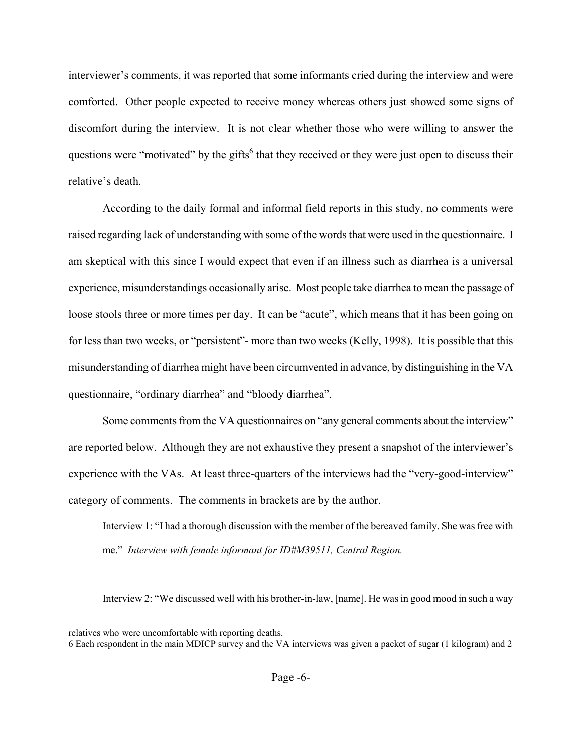interviewer's comments, it was reported that some informants cried during the interview and were comforted. Other people expected to receive money whereas others just showed some signs of discomfort during the interview. It is not clear whether those who were willing to answer the questions were "motivated" by the gifts<sup>[6](#page-6-0)</sup> that they received or they were just open to discuss their relative's death.

According to the daily formal and informal field reports in this study, no comments were raised regarding lack of understanding with some of the words that were used in the questionnaire. I am skeptical with this since I would expect that even if an illness such as diarrhea is a universal experience, misunderstandings occasionally arise. Most people take diarrhea to mean the passage of loose stools three or more times per day. It can be "acute", which means that it has been going on for less than two weeks, or "persistent"- more than two weeks (Kelly, 1998). It is possible that this misunderstanding of diarrhea might have been circumvented in advance, by distinguishing in the VA questionnaire, "ordinary diarrhea" and "bloody diarrhea".

Some comments from the VA questionnaires on "any general comments about the interview" are reported below. Although they are not exhaustive they present a snapshot of the interviewer's experience with the VAs. At least three-quarters of the interviews had the "very-good-interview" category of comments. The comments in brackets are by the author.

Interview 1: "I had a thorough discussion with the member of the bereaved family. She wasfree with me." *Interview with female informant for ID#M39511, Central Region.* 

Interview 2: "We discussed well with his brother-in-law, [name]. He was in good mood in such a way

relatives who were uncomfortable with reporting deaths. 6 Each respondent in the main MDICP survey and the VA interviews was given a packet of sugar (1 kilogram) and 2

 $\overline{a}$ 

<span id="page-6-0"></span>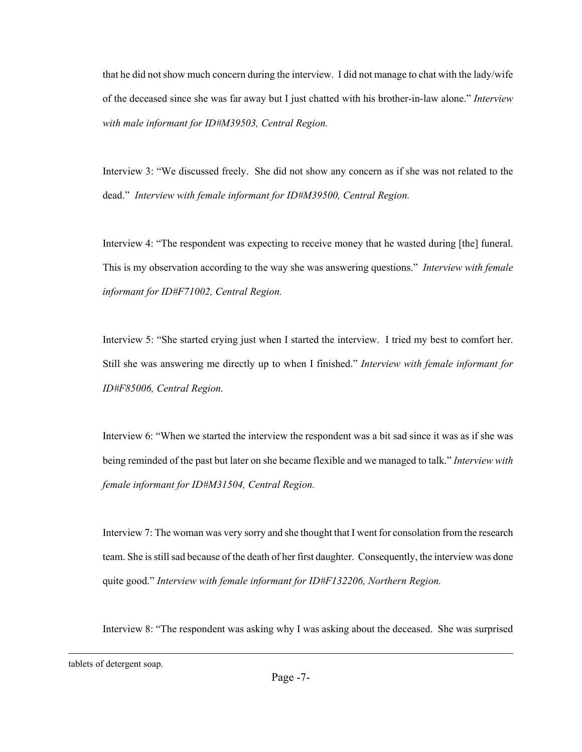that he did not show much concern during the interview. I did not manage to chat with the lady/wife of the deceased since she was far away but I just chatted with his brother-in-law alone." *Interview with male informant for ID#M39503, Central Region.* 

Interview 3: "We discussed freely. She did not show any concern as if she was not related to the dead." *Interview with female informant for ID#M39500, Central Region.* 

Interview 4: "The respondent was expecting to receive money that he wasted during [the] funeral. This is my observation according to the way she was answering questions." *Interview with female informant for ID#F71002, Central Region.* 

Interview 5: "She started crying just when I started the interview. I tried my best to comfort her. Still she was answering me directly up to when I finished." *Interview with female informant for ID#F85006, Central Region.* 

Interview 6: "When we started the interview the respondent was a bit sad since it was as if she was being reminded of the past but later on she became flexible and we managed to talk." *Interview with female informant for ID#M31504, Central Region.* 

Interview 7: The woman was very sorry and she thought that I went for consolation from the research team. She is still sad because of the death of her first daughter. Consequently, the interview was done quite good." *Interview with female informant for ID#F132206, Northern Region.* 

Interview 8: "The respondent was asking why I was asking about the deceased. She was surprised

tablets of detergent soap.

l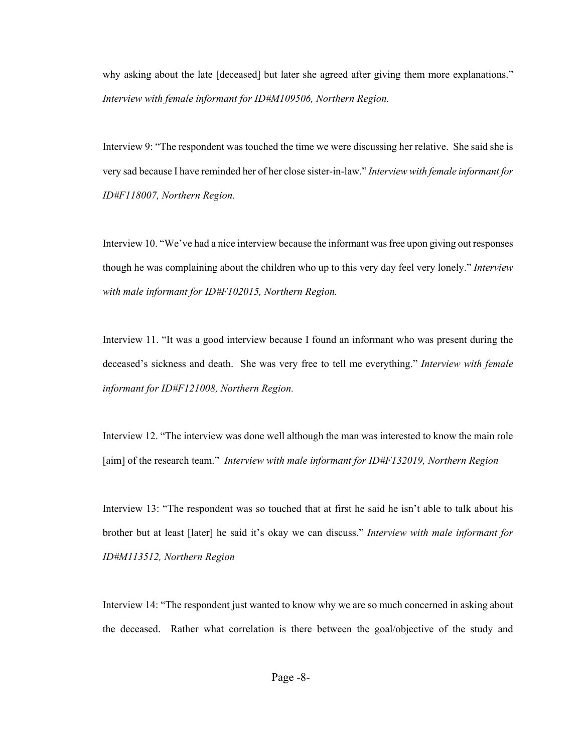why asking about the late [deceased] but later she agreed after giving them more explanations." *Interview with female informant for ID#M109506, Northern Region.* 

Interview 9: "The respondent was touched the time we were discussing her relative. She said she is very sad because I have reminded her of her close sister-in-law." *Interview with female informant for ID#F118007, Northern Region.* 

Interview 10. "We've had a nice interview because the informant was free upon giving out responses though he was complaining about the children who up to this very day feel very lonely." *Interview with male informant for ID#F102015, Northern Region.* 

Interview 11. "It was a good interview because I found an informant who was present during the deceased's sickness and death. She was very free to tell me everything." *Interview with female informant for ID#F121008, Northern Region.* 

Interview 12. "The interview was done well although the man was interested to know the main role [aim] of the research team." *Interview with male informant for ID#F132019, Northern Region* 

Interview 13: "The respondent was so touched that at first he said he isn't able to talk about his brother but at least [later] he said it's okay we can discuss." *Interview with male informant for ID#M113512, Northern Region* 

Interview 14: "The respondent just wanted to know why we are so much concerned in asking about the deceased. Rather what correlation is there between the goal/objective of the study and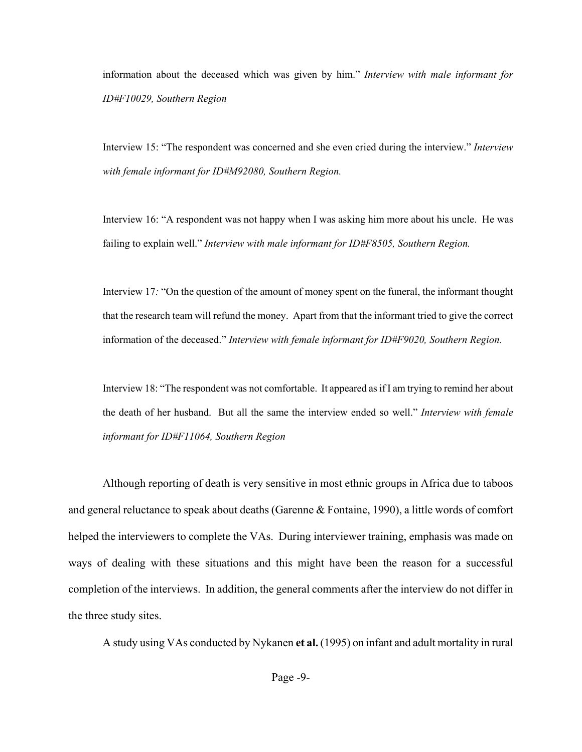information about the deceased which was given by him." *Interview with male informant for ID#F10029, Southern Region*

Interview 15: "The respondent was concerned and she even cried during the interview." *Interview with female informant for ID#M92080, Southern Region.* 

Interview 16: "A respondent was not happy when I was asking him more about his uncle. He was failing to explain well." *Interview with male informant for ID#F8505, Southern Region.* 

Interview 17*:* "On the question of the amount of money spent on the funeral, the informant thought that the research team will refund the money. Apart from that the informant tried to give the correct information of the deceased." *Interview with female informant for ID#F9020, Southern Region.* 

Interview 18: "The respondent was not comfortable. It appeared as if I am trying to remind her about the death of her husband. But all the same the interview ended so well." *Interview with female informant for ID#F11064, Southern Region*

Although reporting of death is very sensitive in most ethnic groups in Africa due to taboos and general reluctance to speak about deaths (Garenne & Fontaine, 1990), a little words of comfort helped the interviewers to complete the VAs. During interviewer training, emphasis was made on ways of dealing with these situations and this might have been the reason for a successful completion of the interviews. In addition, the general comments after the interview do not differ in the three study sites.

A study using VAs conducted by Nykanen **et al.** (1995) on infant and adult mortality in rural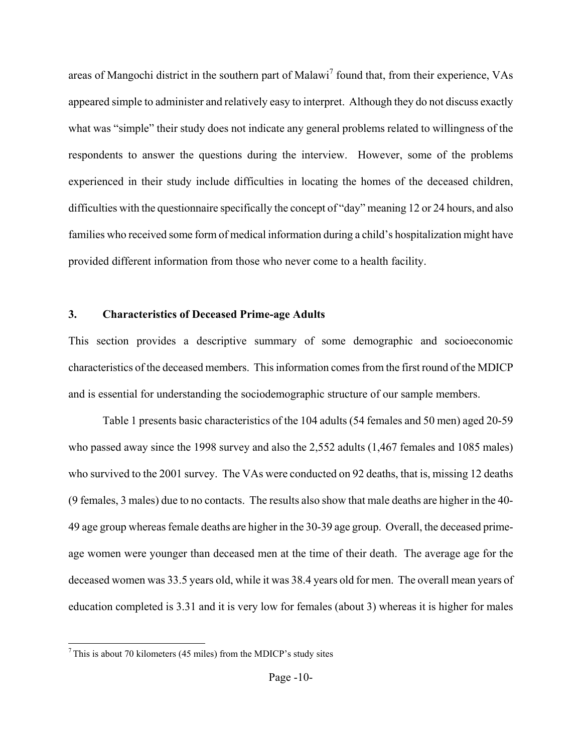areas of Mangochi district in the southern part of Malawi<sup>[7](#page-10-0)</sup> found that, from their experience, VAs appeared simple to administer and relatively easy to interpret. Although they do not discuss exactly what was "simple" their study does not indicate any general problems related to willingness of the respondents to answer the questions during the interview. However, some of the problems experienced in their study include difficulties in locating the homes of the deceased children, difficulties with the questionnaire specifically the concept of "day" meaning 12 or 24 hours, and also families who received some form of medical information during a child's hospitalization might have provided different information from those who never come to a health facility.

# **3. Characteristics of Deceased Prime-age Adults**

This section provides a descriptive summary of some demographic and socioeconomic characteristics of the deceased members. This information comes from the first round of the MDICP and is essential for understanding the sociodemographic structure of our sample members.

Table 1 presents basic characteristics of the 104 adults (54 females and 50 men) aged 20-59 who passed away since the 1998 survey and also the 2,552 adults (1,467 females and 1085 males) who survived to the 2001 survey. The VAs were conducted on 92 deaths, that is, missing 12 deaths (9 females, 3 males) due to no contacts. The results also show that male deaths are higher in the 40- 49 age group whereas female deaths are higher in the 30-39 age group. Overall, the deceased primeage women were younger than deceased men at the time of their death. The average age for the deceased women was 33.5 years old, while it was 38.4 years old for men. The overall mean years of education completed is 3.31 and it is very low for females (about 3) whereas it is higher for males

l

<span id="page-10-0"></span> $7$  This is about 70 kilometers (45 miles) from the MDICP's study sites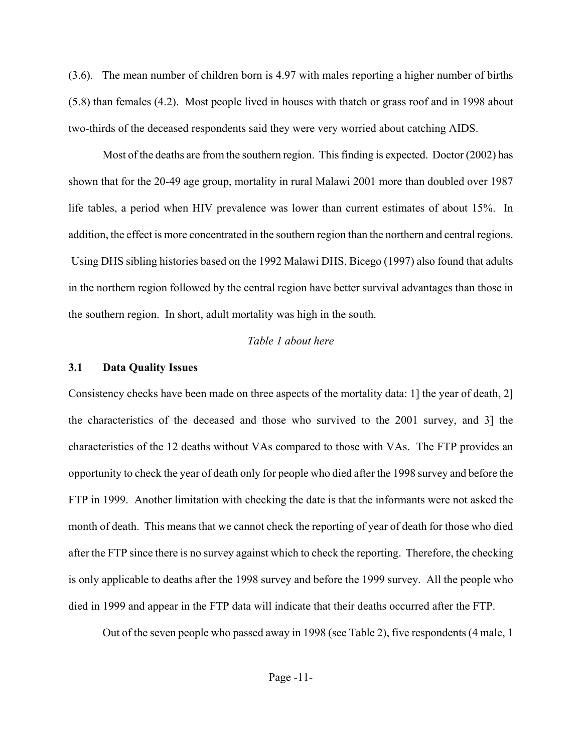(3.6). The mean number of children born is 4.97 with males reporting a higher number of births (5.8) than females (4.2). Most people lived in houses with thatch or grass roof and in 1998 about two-thirds of the deceased respondents said they were very worried about catching AIDS.

Most of the deaths are from the southern region. This finding is expected. Doctor (2002) has shown that for the 20-49 age group, mortality in rural Malawi 2001 more than doubled over 1987 life tables, a period when HIV prevalence was lower than current estimates of about 15%. In addition, the effect is more concentrated in the southern region than the northern and central regions. Using DHS sibling histories based on the 1992 Malawi DHS, Bicego (1997) also found that adults in the northern region followed by the central region have better survival advantages than those in the southern region. In short, adult mortality was high in the south.

# *Table 1 about here*

# **3.1 Data Quality Issues**

Consistency checks have been made on three aspects of the mortality data: 1] the year of death, 2] the characteristics of the deceased and those who survived to the 2001 survey, and 3] the characteristics of the 12 deaths without VAs compared to those with VAs. The FTP provides an opportunity to check the year of death only for people who died after the 1998 survey and before the FTP in 1999. Another limitation with checking the date is that the informants were not asked the month of death. This means that we cannot check the reporting of year of death for those who died after the FTP since there is no survey against which to check the reporting. Therefore, the checking is only applicable to deaths after the 1998 survey and before the 1999 survey. All the people who died in 1999 and appear in the FTP data will indicate that their deaths occurred after the FTP.

Out of the seven people who passed away in 1998 (see Table 2), five respondents (4 male, 1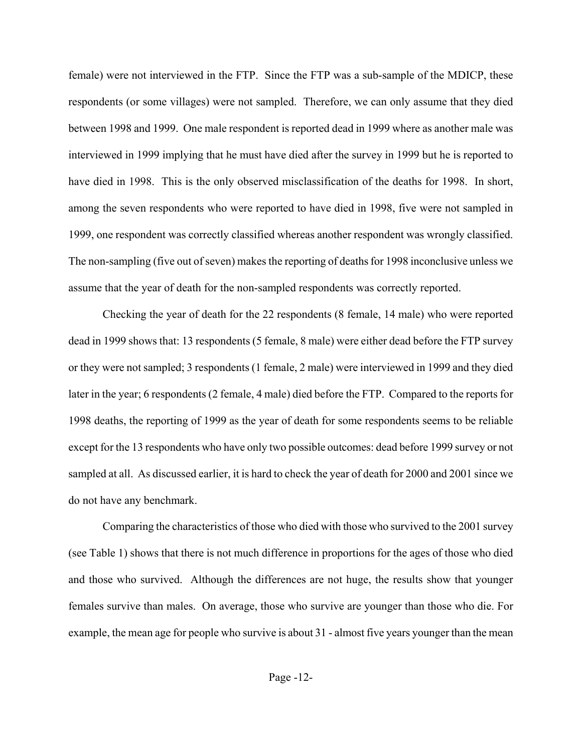female) were not interviewed in the FTP. Since the FTP was a sub-sample of the MDICP, these respondents (or some villages) were not sampled. Therefore, we can only assume that they died between 1998 and 1999. One male respondent is reported dead in 1999 where as another male was interviewed in 1999 implying that he must have died after the survey in 1999 but he is reported to have died in 1998. This is the only observed misclassification of the deaths for 1998. In short, among the seven respondents who were reported to have died in 1998, five were not sampled in 1999, one respondent was correctly classified whereas another respondent was wrongly classified. The non-sampling (five out of seven) makes the reporting of deaths for 1998 inconclusive unless we assume that the year of death for the non-sampled respondents was correctly reported.

Checking the year of death for the 22 respondents (8 female, 14 male) who were reported dead in 1999 shows that: 13 respondents (5 female, 8 male) were either dead before the FTP survey or they were not sampled; 3 respondents (1 female, 2 male) were interviewed in 1999 and they died later in the year; 6 respondents (2 female, 4 male) died before the FTP. Compared to the reports for 1998 deaths, the reporting of 1999 as the year of death for some respondents seems to be reliable except for the 13 respondents who have only two possible outcomes: dead before 1999 survey or not sampled at all. As discussed earlier, it is hard to check the year of death for 2000 and 2001 since we do not have any benchmark.

Comparing the characteristics of those who died with those who survived to the 2001 survey (see Table 1) shows that there is not much difference in proportions for the ages of those who died and those who survived. Although the differences are not huge, the results show that younger females survive than males. On average, those who survive are younger than those who die. For example, the mean age for people who survive is about 31 - almost five years younger than the mean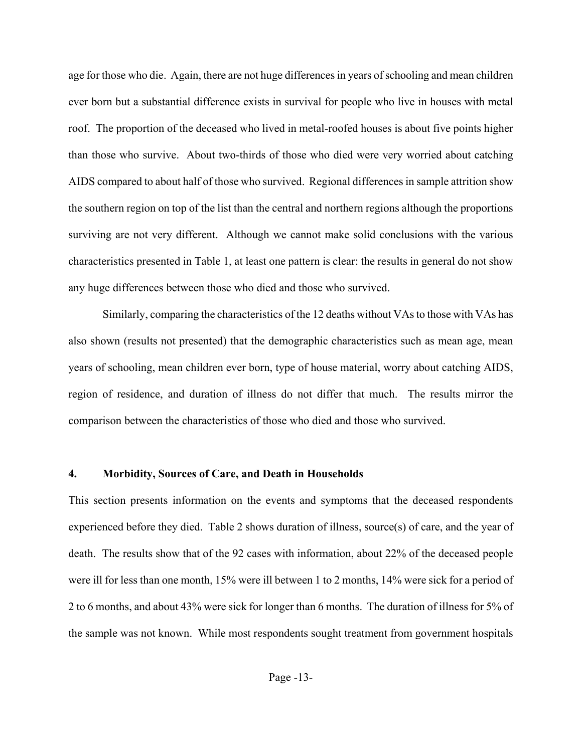age for those who die. Again, there are not huge differences in years of schooling and mean children ever born but a substantial difference exists in survival for people who live in houses with metal roof. The proportion of the deceased who lived in metal-roofed houses is about five points higher than those who survive. About two-thirds of those who died were very worried about catching AIDS compared to about half of those who survived. Regional differences in sample attrition show the southern region on top of the list than the central and northern regions although the proportions surviving are not very different. Although we cannot make solid conclusions with the various characteristics presented in Table 1, at least one pattern is clear: the results in general do not show any huge differences between those who died and those who survived.

Similarly, comparing the characteristics of the 12 deaths without VAs to those with VAs has also shown (results not presented) that the demographic characteristics such as mean age, mean years of schooling, mean children ever born, type of house material, worry about catching AIDS, region of residence, and duration of illness do not differ that much. The results mirror the comparison between the characteristics of those who died and those who survived.

### **4. Morbidity, Sources of Care, and Death in Households**

This section presents information on the events and symptoms that the deceased respondents experienced before they died. Table 2 shows duration of illness, source(s) of care, and the year of death. The results show that of the 92 cases with information, about 22% of the deceased people were ill for less than one month, 15% were ill between 1 to 2 months, 14% were sick for a period of 2 to 6 months, and about 43% were sick for longer than 6 months. The duration of illness for 5% of the sample was not known. While most respondents sought treatment from government hospitals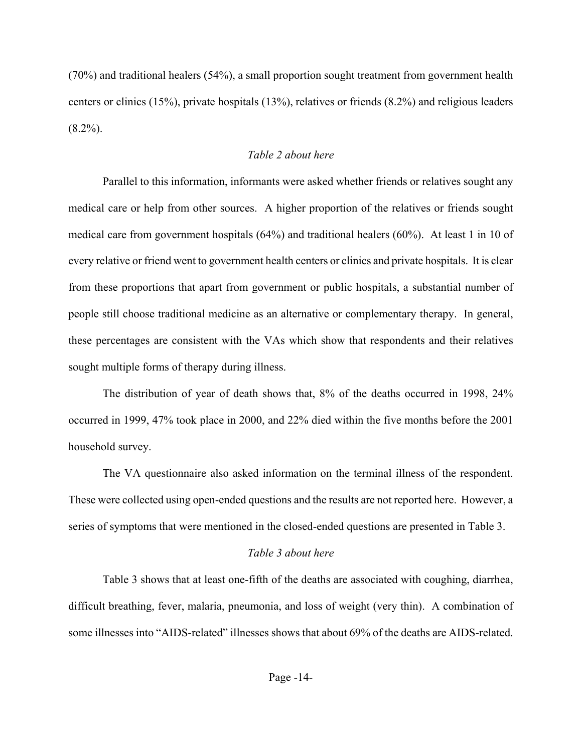(70%) and traditional healers (54%), a small proportion sought treatment from government health centers or clinics (15%), private hospitals (13%), relatives or friends (8.2%) and religious leaders  $(8.2\%)$ .

# *Table 2 about here*

Parallel to this information, informants were asked whether friends or relatives sought any medical care or help from other sources. A higher proportion of the relatives or friends sought medical care from government hospitals (64%) and traditional healers (60%). At least 1 in 10 of every relative or friend went to government health centers or clinics and private hospitals. It is clear from these proportions that apart from government or public hospitals, a substantial number of people still choose traditional medicine as an alternative or complementary therapy. In general, these percentages are consistent with the VAs which show that respondents and their relatives sought multiple forms of therapy during illness.

The distribution of year of death shows that, 8% of the deaths occurred in 1998, 24% occurred in 1999, 47% took place in 2000, and 22% died within the five months before the 2001 household survey.

The VA questionnaire also asked information on the terminal illness of the respondent. These were collected using open-ended questions and the results are not reported here. However, a series of symptoms that were mentioned in the closed-ended questions are presented in Table 3.

# *Table 3 about here*

Table 3 shows that at least one-fifth of the deaths are associated with coughing, diarrhea, difficult breathing, fever, malaria, pneumonia, and loss of weight (very thin). A combination of some illnesses into "AIDS-related" illnesses shows that about 69% of the deaths are AIDS-related.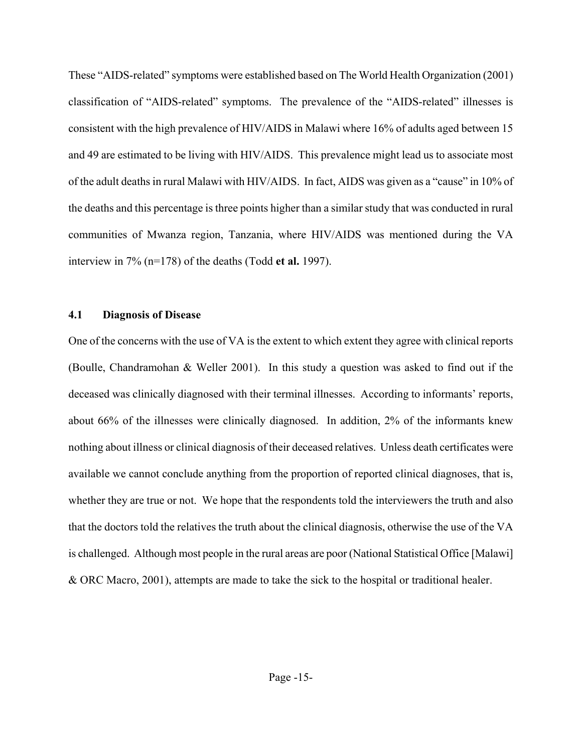These "AIDS-related" symptoms were established based on The World Health Organization (2001) classification of "AIDS-related" symptoms. The prevalence of the "AIDS-related" illnesses is consistent with the high prevalence of HIV/AIDS in Malawi where 16% of adults aged between 15 and 49 are estimated to be living with HIV/AIDS. This prevalence might lead us to associate most of the adult deaths in rural Malawi with HIV/AIDS. In fact, AIDS was given as a "cause" in 10% of the deaths and this percentage is three points higher than a similar study that was conducted in rural communities of Mwanza region, Tanzania, where HIV/AIDS was mentioned during the VA interview in 7% (n=178) of the deaths (Todd **et al.** 1997).

## **4.1 Diagnosis of Disease**

One of the concerns with the use of VA is the extent to which extent they agree with clinical reports (Boulle, Chandramohan & Weller 2001). In this study a question was asked to find out if the deceased was clinically diagnosed with their terminal illnesses. According to informants' reports, about 66% of the illnesses were clinically diagnosed. In addition, 2% of the informants knew nothing about illness or clinical diagnosis of their deceased relatives. Unless death certificates were available we cannot conclude anything from the proportion of reported clinical diagnoses, that is, whether they are true or not. We hope that the respondents told the interviewers the truth and also that the doctors told the relatives the truth about the clinical diagnosis, otherwise the use of the VA is challenged. Although most people in the rural areas are poor (National Statistical Office [Malawi] & ORC Macro, 2001), attempts are made to take the sick to the hospital or traditional healer.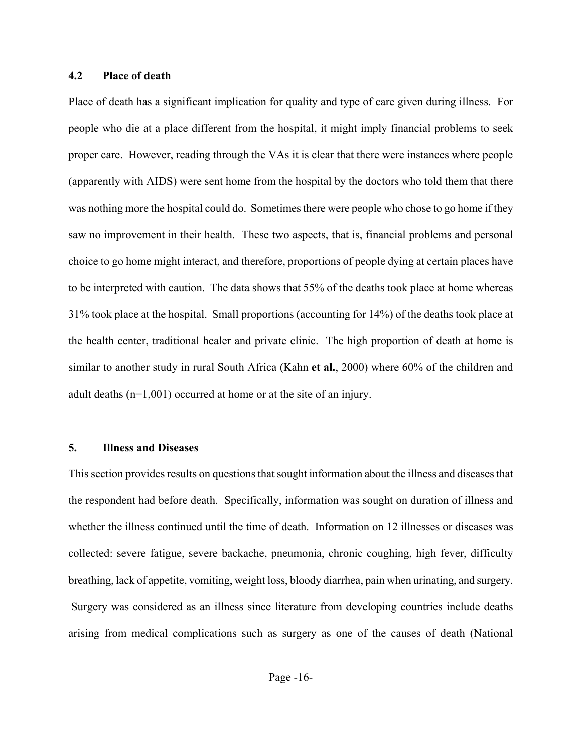# **4.2 Place of death**

Place of death has a significant implication for quality and type of care given during illness. For people who die at a place different from the hospital, it might imply financial problems to seek proper care. However, reading through the VAs it is clear that there were instances where people (apparently with AIDS) were sent home from the hospital by the doctors who told them that there was nothing more the hospital could do. Sometimes there were people who chose to go home if they saw no improvement in their health. These two aspects, that is, financial problems and personal choice to go home might interact, and therefore, proportions of people dying at certain places have to be interpreted with caution. The data shows that 55% of the deaths took place at home whereas 31% took place at the hospital. Small proportions (accounting for 14%) of the deaths took place at the health center, traditional healer and private clinic. The high proportion of death at home is similar to another study in rural South Africa (Kahn **et al.**, 2000) where 60% of the children and adult deaths (n=1,001) occurred at home or at the site of an injury.

### **5. Illness and Diseases**

This section provides results on questions that sought information about the illness and diseases that the respondent had before death. Specifically, information was sought on duration of illness and whether the illness continued until the time of death. Information on 12 illnesses or diseases was collected: severe fatigue, severe backache, pneumonia, chronic coughing, high fever, difficulty breathing, lack of appetite, vomiting, weight loss, bloody diarrhea, pain when urinating, and surgery. Surgery was considered as an illness since literature from developing countries include deaths arising from medical complications such as surgery as one of the causes of death (National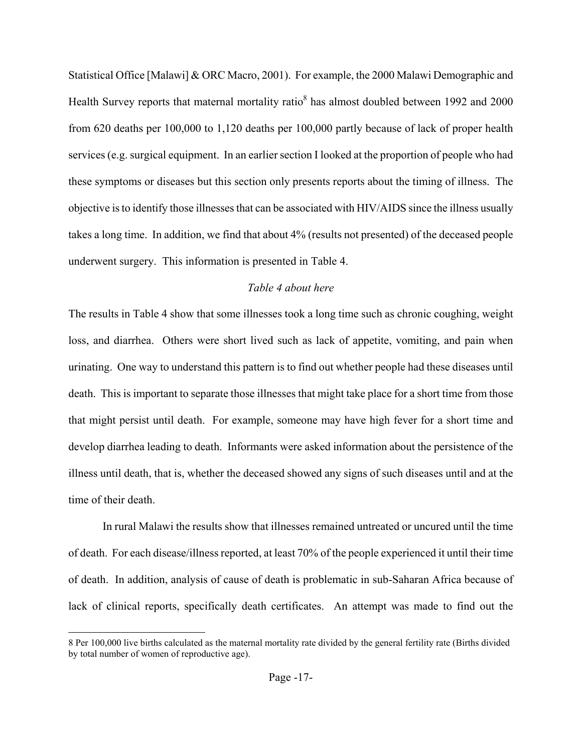Statistical Office [Malawi] & ORC Macro, 2001). For example, the 2000 Malawi Demographic and Health Survey reports that maternal mortality ratio<sup>[8](#page-17-0)</sup> has almost doubled between 1992 and 2000 from 620 deaths per 100,000 to 1,120 deaths per 100,000 partly because of lack of proper health services (e.g. surgical equipment. In an earlier section I looked at the proportion of people who had these symptoms or diseases but this section only presents reports about the timing of illness. The objective is to identify those illnesses that can be associated with HIV/AIDS since the illness usually takes a long time. In addition, we find that about 4% (results not presented) of the deceased people underwent surgery. This information is presented in Table 4.

# *Table 4 about here*

The results in Table 4 show that some illnesses took a long time such as chronic coughing, weight loss, and diarrhea. Others were short lived such as lack of appetite, vomiting, and pain when urinating. One way to understand this pattern is to find out whether people had these diseases until death. This is important to separate those illnesses that might take place for a short time from those that might persist until death. For example, someone may have high fever for a short time and develop diarrhea leading to death. Informants were asked information about the persistence of the illness until death, that is, whether the deceased showed any signs of such diseases until and at the time of their death.

In rural Malawi the results show that illnesses remained untreated or uncured until the time of death. For each disease/illness reported, at least 70% of the people experienced it until their time of death. In addition, analysis of cause of death is problematic in sub-Saharan Africa because of lack of clinical reports, specifically death certificates. An attempt was made to find out the

 $\overline{\phantom{a}}$ 

<span id="page-17-0"></span><sup>8</sup> Per 100,000 live births calculated as the maternal mortality rate divided by the general fertility rate (Births divided by total number of women of reproductive age).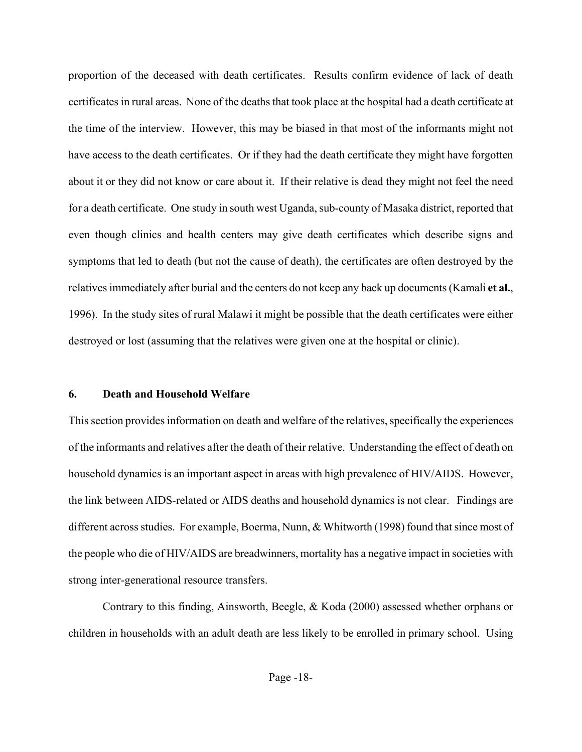proportion of the deceased with death certificates. Results confirm evidence of lack of death certificates in rural areas. None of the deaths that took place at the hospital had a death certificate at the time of the interview. However, this may be biased in that most of the informants might not have access to the death certificates. Or if they had the death certificate they might have forgotten about it or they did not know or care about it. If their relative is dead they might not feel the need for a death certificate. One study in south west Uganda, sub-county of Masaka district, reported that even though clinics and health centers may give death certificates which describe signs and symptoms that led to death (but not the cause of death), the certificates are often destroyed by the relatives immediately after burial and the centers do not keep any back up documents (Kamali **et al.**, 1996). In the study sites of rural Malawi it might be possible that the death certificates were either destroyed or lost (assuming that the relatives were given one at the hospital or clinic).

# **6. Death and Household Welfare**

This section provides information on death and welfare of the relatives, specifically the experiences of the informants and relatives after the death of their relative. Understanding the effect of death on household dynamics is an important aspect in areas with high prevalence of HIV/AIDS. However, the link between AIDS-related or AIDS deaths and household dynamics is not clear. Findings are different across studies. For example, Boerma, Nunn, & Whitworth (1998) found that since most of the people who die of HIV/AIDS are breadwinners, mortality has a negative impact in societies with strong inter-generational resource transfers.

Contrary to this finding, Ainsworth, Beegle, & Koda (2000) assessed whether orphans or children in households with an adult death are less likely to be enrolled in primary school. Using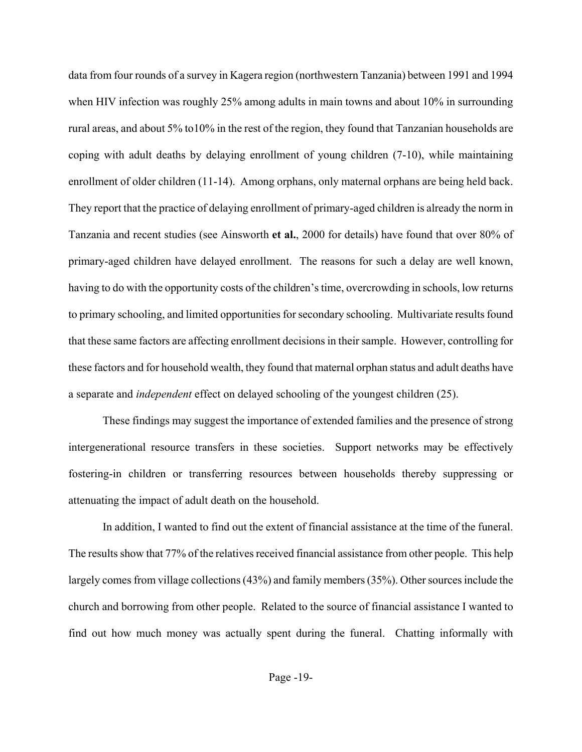data from four rounds of a survey in Kagera region (northwestern Tanzania) between 1991 and 1994 when HIV infection was roughly 25% among adults in main towns and about 10% in surrounding rural areas, and about 5% to10% in the rest of the region, they found that Tanzanian households are coping with adult deaths by delaying enrollment of young children (7-10), while maintaining enrollment of older children (11-14). Among orphans, only maternal orphans are being held back. They report that the practice of delaying enrollment of primary-aged children is already the norm in Tanzania and recent studies (see Ainsworth **et al.**, 2000 for details) have found that over 80% of primary-aged children have delayed enrollment. The reasons for such a delay are well known, having to do with the opportunity costs of the children's time, overcrowding in schools, low returns to primary schooling, and limited opportunities for secondary schooling. Multivariate results found that these same factors are affecting enrollment decisions in their sample. However, controlling for these factors and for household wealth, they found that maternal orphan status and adult deaths have a separate and *independent* effect on delayed schooling of the youngest children (25).

These findings may suggest the importance of extended families and the presence of strong intergenerational resource transfers in these societies. Support networks may be effectively fostering-in children or transferring resources between households thereby suppressing or attenuating the impact of adult death on the household.

In addition, I wanted to find out the extent of financial assistance at the time of the funeral. The results show that 77% of the relatives received financial assistance from other people. This help largely comes from village collections (43%) and family members (35%). Other sources include the church and borrowing from other people. Related to the source of financial assistance I wanted to find out how much money was actually spent during the funeral. Chatting informally with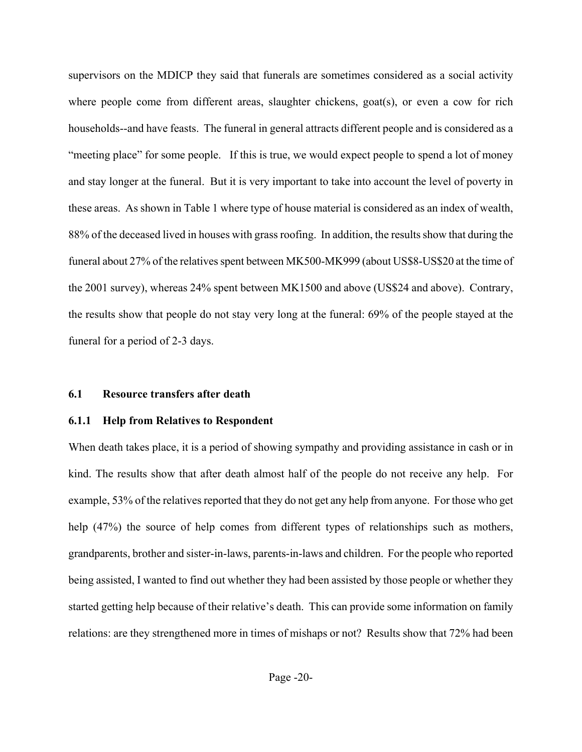supervisors on the MDICP they said that funerals are sometimes considered as a social activity where people come from different areas, slaughter chickens, goat(s), or even a cow for rich households--and have feasts. The funeral in general attracts different people and is considered as a "meeting place" for some people. If this is true, we would expect people to spend a lot of money and stay longer at the funeral. But it is very important to take into account the level of poverty in these areas. As shown in Table 1 where type of house material is considered as an index of wealth, 88% of the deceased lived in houses with grass roofing. In addition, the results show that during the funeral about 27% of the relatives spent between MK500-MK999 (about US\$8-US\$20 at the time of the 2001 survey), whereas 24% spent between MK1500 and above (US\$24 and above). Contrary, the results show that people do not stay very long at the funeral: 69% of the people stayed at the funeral for a period of 2-3 days.

# **6.1 Resource transfers after death**

# **6.1.1 Help from Relatives to Respondent**

When death takes place, it is a period of showing sympathy and providing assistance in cash or in kind. The results show that after death almost half of the people do not receive any help. For example, 53% of the relatives reported that they do not get any help from anyone. For those who get help (47%) the source of help comes from different types of relationships such as mothers, grandparents, brother and sister-in-laws, parents-in-laws and children. For the people who reported being assisted, I wanted to find out whether they had been assisted by those people or whether they started getting help because of their relative's death. This can provide some information on family relations: are they strengthened more in times of mishaps or not? Results show that 72% had been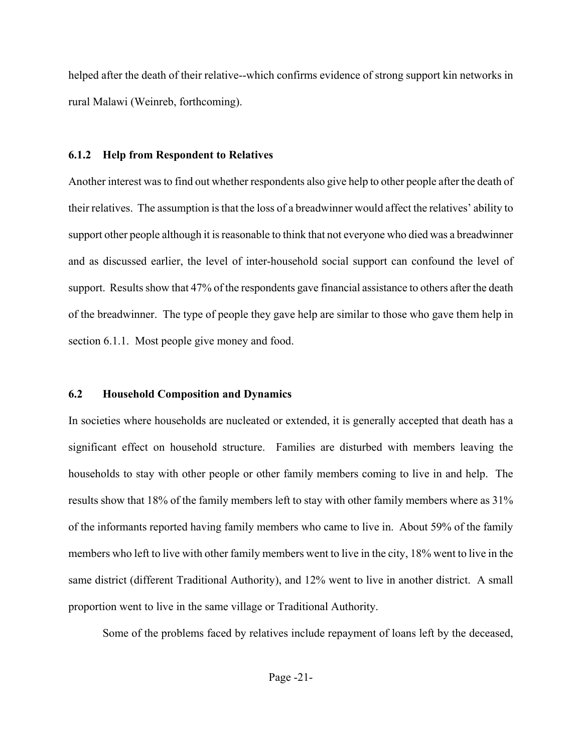helped after the death of their relative--which confirms evidence of strong support kin networks in rural Malawi (Weinreb, forthcoming).

# **6.1.2 Help from Respondent to Relatives**

Another interest was to find out whether respondents also give help to other people after the death of their relatives. The assumption is that the loss of a breadwinner would affect the relatives' ability to support other people although it is reasonable to think that not everyone who died was a breadwinner and as discussed earlier, the level of inter-household social support can confound the level of support. Results show that 47% of the respondents gave financial assistance to others after the death of the breadwinner. The type of people they gave help are similar to those who gave them help in section 6.1.1. Most people give money and food.

# **6.2 Household Composition and Dynamics**

In societies where households are nucleated or extended, it is generally accepted that death has a significant effect on household structure. Families are disturbed with members leaving the households to stay with other people or other family members coming to live in and help. The results show that 18% of the family members left to stay with other family members where as 31% of the informants reported having family members who came to live in. About 59% of the family members who left to live with other family members went to live in the city, 18% went to live in the same district (different Traditional Authority), and 12% went to live in another district. A small proportion went to live in the same village or Traditional Authority.

Some of the problems faced by relatives include repayment of loans left by the deceased,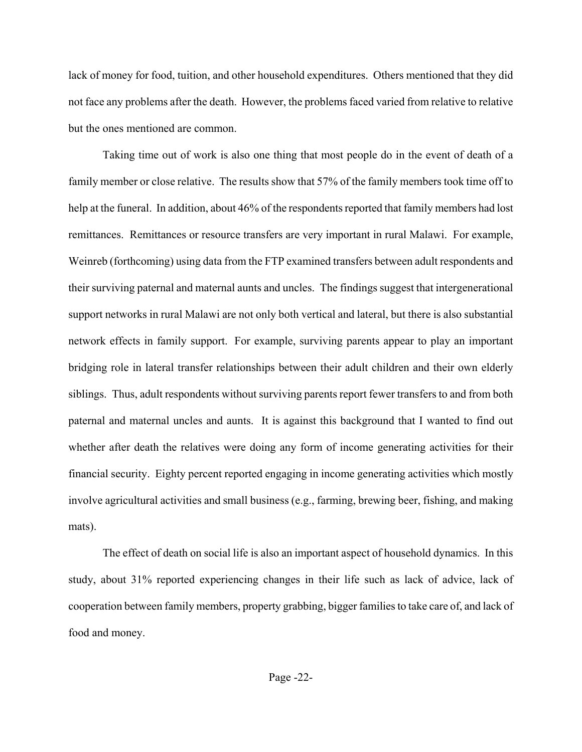lack of money for food, tuition, and other household expenditures. Others mentioned that they did not face any problems after the death. However, the problems faced varied from relative to relative but the ones mentioned are common.

Taking time out of work is also one thing that most people do in the event of death of a family member or close relative. The results show that 57% of the family members took time off to help at the funeral. In addition, about 46% of the respondents reported that family members had lost remittances. Remittances or resource transfers are very important in rural Malawi. For example, Weinreb (forthcoming) using data from the FTP examined transfers between adult respondents and their surviving paternal and maternal aunts and uncles. The findings suggest that intergenerational support networks in rural Malawi are not only both vertical and lateral, but there is also substantial network effects in family support. For example, surviving parents appear to play an important bridging role in lateral transfer relationships between their adult children and their own elderly siblings. Thus, adult respondents without surviving parents report fewer transfers to and from both paternal and maternal uncles and aunts. It is against this background that I wanted to find out whether after death the relatives were doing any form of income generating activities for their financial security. Eighty percent reported engaging in income generating activities which mostly involve agricultural activities and small business (e.g., farming, brewing beer, fishing, and making mats).

The effect of death on social life is also an important aspect of household dynamics. In this study, about 31% reported experiencing changes in their life such as lack of advice, lack of cooperation between family members, property grabbing, bigger families to take care of, and lack of food and money.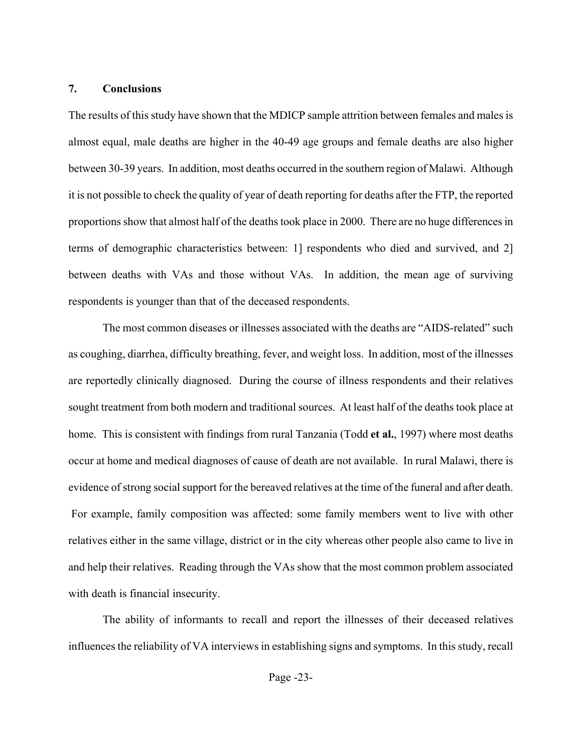### **7. Conclusions**

The results of this study have shown that the MDICP sample attrition between females and males is almost equal, male deaths are higher in the 40-49 age groups and female deaths are also higher between 30-39 years. In addition, most deaths occurred in the southern region of Malawi. Although it is not possible to check the quality of year of death reporting for deaths after the FTP, the reported proportions show that almost half of the deaths took place in 2000. There are no huge differences in terms of demographic characteristics between: 1] respondents who died and survived, and 2] between deaths with VAs and those without VAs. In addition, the mean age of surviving respondents is younger than that of the deceased respondents.

The most common diseases or illnesses associated with the deaths are "AIDS-related" such as coughing, diarrhea, difficulty breathing, fever, and weight loss. In addition, most of the illnesses are reportedly clinically diagnosed. During the course of illness respondents and their relatives sought treatment from both modern and traditional sources. At least half of the deaths took place at home. This is consistent with findings from rural Tanzania (Todd **et al.**, 1997) where most deaths occur at home and medical diagnoses of cause of death are not available. In rural Malawi, there is evidence of strong social support for the bereaved relatives at the time of the funeral and after death. For example, family composition was affected: some family members went to live with other relatives either in the same village, district or in the city whereas other people also came to live in and help their relatives. Reading through the VAs show that the most common problem associated with death is financial insecurity.

The ability of informants to recall and report the illnesses of their deceased relatives influences the reliability of VA interviews in establishing signs and symptoms. In this study, recall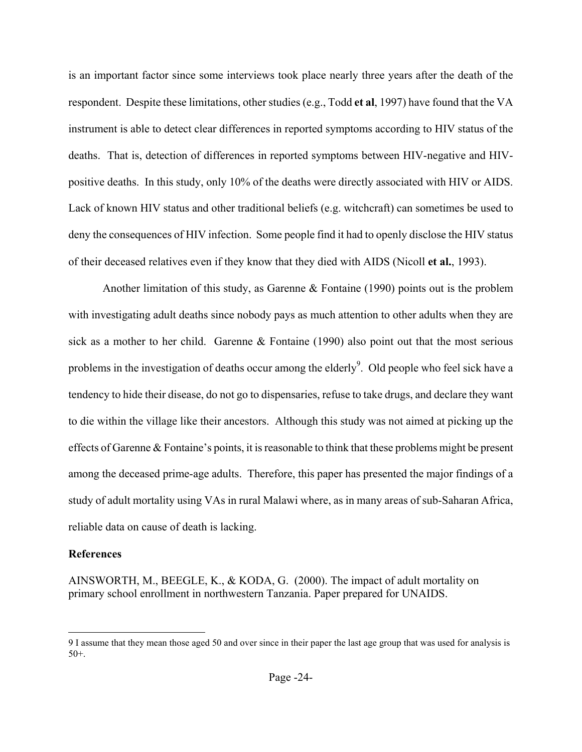is an important factor since some interviews took place nearly three years after the death of the respondent. Despite these limitations, other studies (e.g., Todd **et al**, 1997) have found that the VA instrument is able to detect clear differences in reported symptoms according to HIV status of the deaths. That is, detection of differences in reported symptoms between HIV-negative and HIVpositive deaths. In this study, only 10% of the deaths were directly associated with HIV or AIDS. Lack of known HIV status and other traditional beliefs (e.g. witchcraft) can sometimes be used to deny the consequences of HIV infection. Some people find it had to openly disclose the HIV status of their deceased relatives even if they know that they died with AIDS (Nicoll **et al.**, 1993).

Another limitation of this study, as Garenne & Fontaine (1990) points out is the problem with investigating adult deaths since nobody pays as much attention to other adults when they are sick as a mother to her child. Garenne & Fontaine (1990) also point out that the most serious problems in the investigation of deaths occur among the elderly<sup>9</sup>. Old people who feel sick have a tendency to hide their disease, do not go to dispensaries, refuse to take drugs, and declare they want to die within the village like their ancestors. Although this study was not aimed at picking up the effects of Garenne & Fontaine's points, it is reasonable to think that these problems might be present among the deceased prime-age adults. Therefore, this paper has presented the major findings of a study of adult mortality using VAs in rural Malawi where, as in many areas of sub-Saharan Africa, reliable data on cause of death is lacking.

# **References**

 $\overline{\phantom{a}}$ 

AINSWORTH, M., BEEGLE, K., & KODA, G. (2000). The impact of adult mortality on primary school enrollment in northwestern Tanzania. Paper prepared for UNAIDS.

<span id="page-24-0"></span><sup>9</sup> I assume that they mean those aged 50 and over since in their paper the last age group that was used for analysis is 50+.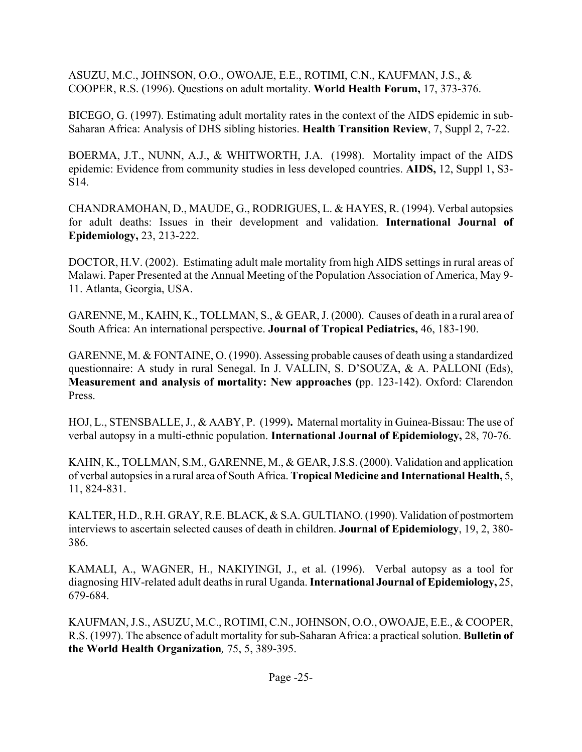ASUZU, M.C., JOHNSON, O.O., OWOAJE, E.E., ROTIMI, C.N., KAUFMAN, J.S., & COOPER, R.S. (1996). Questions on adult mortality. **World Health Forum,** 17, 373-376.

BICEGO, G. (1997). Estimating adult mortality rates in the context of the AIDS epidemic in sub-Saharan Africa: Analysis of DHS sibling histories. **Health Transition Review**, 7, Suppl 2, 7-22.

BOERMA, J.T., NUNN, A.J., & WHITWORTH, J.A. (1998). Mortality impact of the AIDS epidemic: Evidence from community studies in less developed countries. **AIDS,** 12, Suppl 1, S3- S14.

CHANDRAMOHAN, D., MAUDE, G., RODRIGUES, L. & HAYES, R. (1994). Verbal autopsies for adult deaths: Issues in their development and validation. **International Journal of Epidemiology,** 23, 213-222.

DOCTOR, H.V. (2002). Estimating adult male mortality from high AIDS settings in rural areas of Malawi. Paper Presented at the Annual Meeting of the Population Association of America, May 9- 11. Atlanta, Georgia, USA.

GARENNE, M., KAHN, K., TOLLMAN, S., & GEAR, J. (2000). Causes of death in a rural area of South Africa: An international perspective. **Journal of Tropical Pediatrics,** 46, 183-190.

GARENNE, M. & FONTAINE, O. (1990). Assessing probable causes of death using a standardized questionnaire: A study in rural Senegal. In J. VALLIN, S. D'SOUZA, & A. PALLONI (Eds), **Measurement and analysis of mortality: New approaches (**pp. 123-142). Oxford: Clarendon Press.

HOJ, L., STENSBALLE, J., & AABY, P. (1999)**.** Maternal mortality in Guinea-Bissau: The use of verbal autopsy in a multi-ethnic population. **International Journal of Epidemiology,** 28, 70-76.

KAHN, K., TOLLMAN, S.M., GARENNE, M., & GEAR, J.S.S. (2000). Validation and application of verbal autopsies in a rural area of South Africa. **Tropical Medicine and International Health,** 5, 11, 824-831.

KALTER, H.D., R.H. GRAY, R.E. BLACK, & S.A. GULTIANO. (1990). Validation of postmortem interviews to ascertain selected causes of death in children. **Journal of Epidemiology**, 19, 2, 380- 386.

KAMALI, A., WAGNER, H., NAKIYINGI, J., et al. (1996). Verbal autopsy as a tool for diagnosing HIV-related adult deaths in rural Uganda. **International Journal of Epidemiology,** 25, 679-684.

KAUFMAN, J.S., ASUZU, M.C., ROTIMI, C.N., JOHNSON, O.O., OWOAJE, E.E., & COOPER, R.S. (1997). The absence of adult mortality for sub-Saharan Africa: a practical solution. **Bulletin of the World Health Organization***,* 75, 5, 389-395.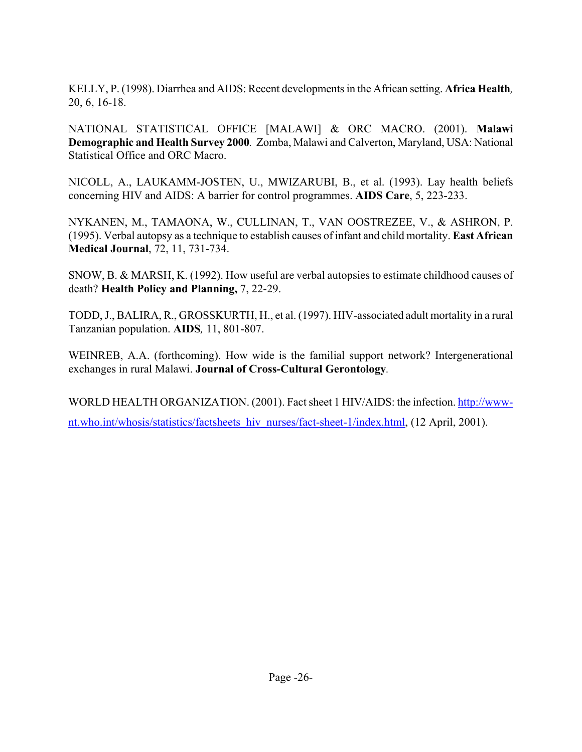KELLY, P. (1998). Diarrhea and AIDS: Recent developments in the African setting. **Africa Health***,*  20, 6, 16-18.

NATIONAL STATISTICAL OFFICE [MALAWI] & ORC MACRO. (2001). **Malawi Demographic and Health Survey 2000***.* Zomba, Malawi and Calverton, Maryland, USA: National Statistical Office and ORC Macro.

NICOLL, A., LAUKAMM-JOSTEN, U., MWIZARUBI, B., et al. (1993). Lay health beliefs concerning HIV and AIDS: A barrier for control programmes. **AIDS Care**, 5, 223-233.

NYKANEN, M., TAMAONA, W., CULLINAN, T., VAN OOSTREZEE, V., & ASHRON, P. (1995). Verbal autopsy as a technique to establish causes of infant and child mortality. **East African Medical Journal**, 72, 11, 731-734.

SNOW, B. & MARSH, K. (1992). How useful are verbal autopsies to estimate childhood causes of death? **Health Policy and Planning,** 7, 22-29.

TODD, J., BALIRA, R., GROSSKURTH, H., et al. (1997). HIV-associated adult mortality in a rural Tanzanian population. **AIDS***,* 11, 801-807.

WEINREB, A.A. (forthcoming). How wide is the familial support network? Intergenerational exchanges in rural Malawi. **Journal of Cross-Cultural Gerontology***.*

WORLD HEALTH ORGANIZATION. (2001). Fact sheet 1 HIV/AIDS: the infection. [http://www](http://www-nt.who.int/whosis/statistics/factsheets_hiv_nurses/fact-sheet-1/index.html)[nt.who.int/whosis/statistics/factsheets\\_hiv\\_nurses/fact-sheet-1/index.html](http://www-nt.who.int/whosis/statistics/factsheets_hiv_nurses/fact-sheet-1/index.html), (12 April, 2001).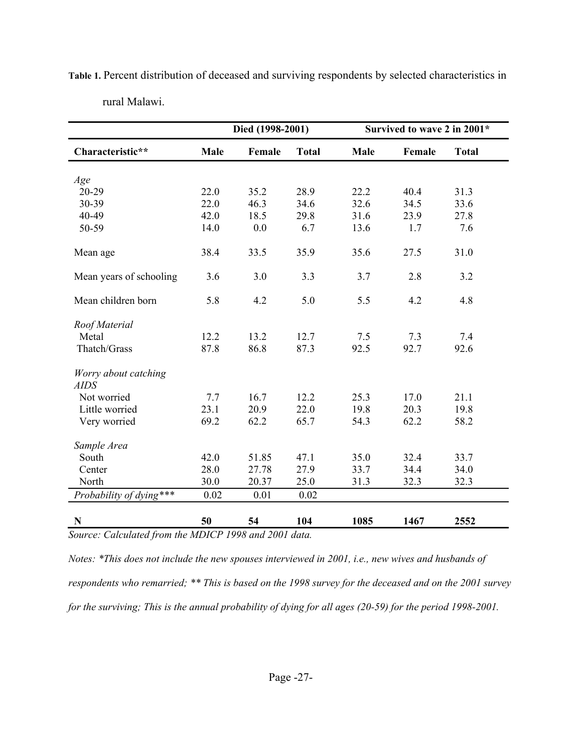|                                     | Died (1998-2001) |        |              | Survived to wave 2 in 2001* |              |              |
|-------------------------------------|------------------|--------|--------------|-----------------------------|--------------|--------------|
| Characteristic**                    | <b>Male</b>      | Female | <b>Total</b> | <b>Male</b>                 | Female       | <b>Total</b> |
|                                     |                  |        |              |                             |              |              |
| Age<br>20-29                        | 22.0             | 35.2   | 28.9         | 22.2                        |              |              |
| 30-39                               | 22.0             | 46.3   | 34.6         | 32.6                        | 40.4<br>34.5 | 31.3<br>33.6 |
| 40-49                               | 42.0             | 18.5   | 29.8         | 31.6                        | 23.9         | 27.8         |
|                                     |                  |        |              |                             |              |              |
| 50-59                               | 14.0             | 0.0    | 6.7          | 13.6                        | 1.7          | 7.6          |
| Mean age                            | 38.4             | 33.5   | 35.9         | 35.6                        | 27.5         | 31.0         |
| Mean years of schooling             | 3.6              | 3.0    | 3.3          | 3.7                         | 2.8          | 3.2          |
| Mean children born                  | 5.8              | 4.2    | 5.0          | 5.5                         | 4.2          | 4.8          |
| Roof Material                       |                  |        |              |                             |              |              |
| Metal                               | 12.2             | 13.2   | 12.7         | 7.5                         | 7.3          | 7.4          |
| Thatch/Grass                        | 87.8             | 86.8   | 87.3         | 92.5                        | 92.7         | 92.6         |
|                                     |                  |        |              |                             |              |              |
| Worry about catching<br><b>AIDS</b> |                  |        |              |                             |              |              |
| Not worried                         | 7.7              | 16.7   | 12.2         | 25.3                        | 17.0         | 21.1         |
| Little worried                      | 23.1             | 20.9   | 22.0         | 19.8                        | 20.3         | 19.8         |
| Very worried                        | 69.2             | 62.2   | 65.7         | 54.3                        | 62.2         | 58.2         |
|                                     |                  |        |              |                             |              |              |
| Sample Area                         |                  |        |              |                             |              |              |
| South                               | 42.0             | 51.85  | 47.1         | 35.0                        | 32.4         | 33.7         |
| Center                              | 28.0             | 27.78  | 27.9         | 33.7                        | 34.4         | 34.0         |
| North                               | 30.0             | 20.37  | 25.0         | 31.3                        | 32.3         | 32.3         |
| Probability of dying***             | 0.02             | 0.01   | 0.02         |                             |              |              |
|                                     |                  |        |              |                             |              |              |
| N                                   | 50               | 54     | 104          | 1085                        | 1467         | 2552         |

**Table 1.** Percent distribution of deceased and surviving respondents by selected characteristics in rural Malawi.

*Source: Calculated from the MDICP 1998 and 2001 data.* 

*Notes: \*This does not include the new spouses interviewed in 2001, i.e., new wives and husbands of respondents who remarried; \*\* This is based on the 1998 survey for the deceased and on the 2001 survey for the surviving; This is the annual probability of dying for all ages (20-59) for the period 1998-2001.*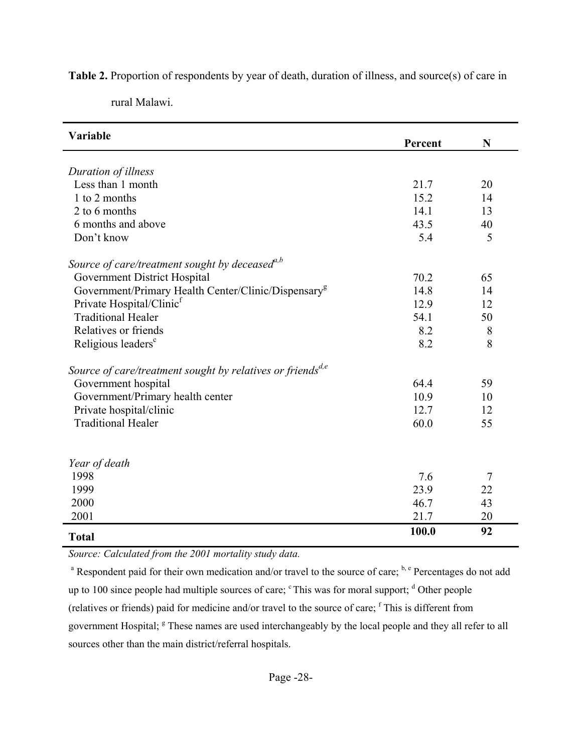**Table 2.** Proportion of respondents by year of death, duration of illness, and source(s) of care in

| Variable                                                               | Percent | $\mathbf N$    |
|------------------------------------------------------------------------|---------|----------------|
|                                                                        |         |                |
| Duration of illness                                                    |         |                |
| Less than 1 month                                                      | 21.7    | 20             |
| 1 to 2 months                                                          | 15.2    | 14             |
| 2 to 6 months                                                          | 14.1    | 13             |
| 6 months and above                                                     | 43.5    | 40             |
| Don't know                                                             | 5.4     | 5              |
| Source of care/treatment sought by deceased $a,b$                      |         |                |
| Government District Hospital                                           | 70.2    | 65             |
| Government/Primary Health Center/Clinic/Dispensary <sup>g</sup>        | 14.8    | 14             |
| Private Hospital/Clinic <sup>f</sup>                                   | 12.9    | 12             |
| <b>Traditional Healer</b>                                              | 54.1    | 50             |
| Relatives or friends                                                   | 8.2     | 8              |
| Religious leaders <sup>c</sup>                                         | 8.2     | 8              |
| Source of care/treatment sought by relatives or friends <sup>d,e</sup> |         |                |
| Government hospital                                                    | 64.4    | 59             |
| Government/Primary health center                                       | 10.9    | 10             |
| Private hospital/clinic                                                | 12.7    | 12             |
| <b>Traditional Healer</b>                                              | 60.0    | 55             |
|                                                                        |         |                |
| Year of death                                                          |         |                |
| 1998                                                                   | 7.6     | $\overline{7}$ |
| 1999                                                                   | 23.9    | 22             |
| 2000                                                                   | 46.7    | 43             |
| 2001                                                                   | 21.7    | 20             |
| <b>Total</b>                                                           | 100.0   | 92             |

*Source: Calculated from the 2001 mortality study data.*

<sup>a</sup> Respondent paid for their own medication and/or travel to the source of care;  $b, e$  Percentages do not add up to 100 since people had multiple sources of care;  $\textdegree$  This was for moral support;  $\textdegree$  Other people (relatives or friends) paid for medicine and/or travel to the source of care; <sup>f</sup> This is different from government Hospital; <sup>g</sup> These names are used interchangeably by the local people and they all refer to all sources other than the main district/referral hospitals.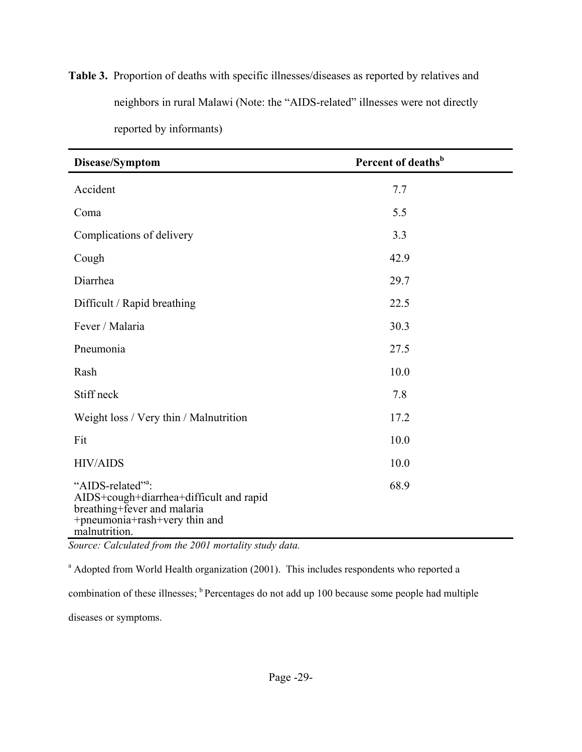**Table 3.** Proportion of deaths with specific illnesses/diseases as reported by relatives and neighbors in rural Malawi (Note: the "AIDS-related" illnesses were not directly reported by informants)

| Disease/Symptom                                                                                                                                           | Percent of deaths <sup>b</sup> |
|-----------------------------------------------------------------------------------------------------------------------------------------------------------|--------------------------------|
| Accident                                                                                                                                                  | 7.7                            |
| Coma                                                                                                                                                      | 5.5                            |
| Complications of delivery                                                                                                                                 | 3.3                            |
| Cough                                                                                                                                                     | 42.9                           |
| Diarrhea                                                                                                                                                  | 29.7                           |
| Difficult / Rapid breathing                                                                                                                               | 22.5                           |
| Fever / Malaria                                                                                                                                           | 30.3                           |
| Pneumonia                                                                                                                                                 | 27.5                           |
| Rash                                                                                                                                                      | 10.0                           |
| Stiff neck                                                                                                                                                | 7.8                            |
| Weight loss / Very thin / Malnutrition                                                                                                                    | 17.2                           |
| Fit                                                                                                                                                       | 10.0                           |
| <b>HIV/AIDS</b>                                                                                                                                           | 10.0                           |
| "AIDS-related" <sup>2</sup> :<br>AIDS+cough+diarrhea+difficult and rapid<br>breathing+fever and malaria<br>+pneumonia+rash+very thin and<br>malnutrition. | 68.9                           |

*Source: Calculated from the 2001 mortality study data.* 

<sup>a</sup> Adopted from World Health organization (2001). This includes respondents who reported a

combination of these illnesses; <sup>b</sup> Percentages do not add up 100 because some people had multiple

diseases or symptoms.